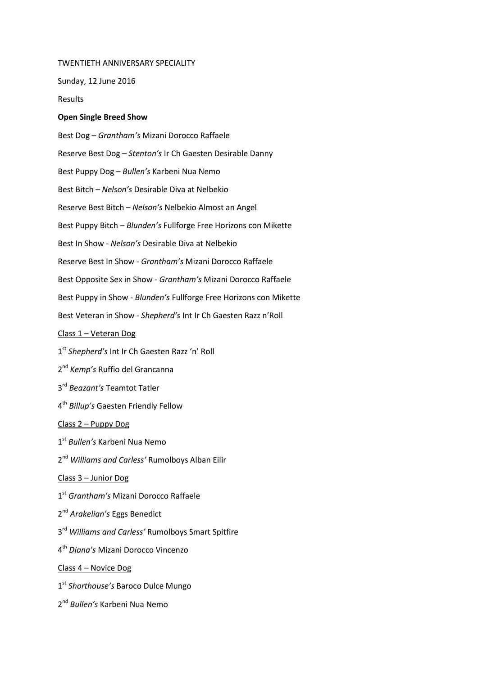## TWENTIETH ANNIVERSARY SPECIALITY

Sunday, 12 June 2016

Results

## **Open Single Breed Show**

Best Dog – *Grantham's* Mizani Dorocco Raffaele Reserve Best Dog – *Stenton's* Ir Ch Gaesten Desirable Danny Best Puppy Dog – *Bullen's* Karbeni Nua Nemo Best Bitch – *Nelson's* Desirable Diva at Nelbekio Reserve Best Bitch – *Nelson's* Nelbekio Almost an Angel Best Puppy Bitch – *Blunden's* Fullforge Free Horizons con Mikette Best In Show - *Nelson's* Desirable Diva at Nelbekio Reserve Best In Show - *Grantham's* Mizani Dorocco Raffaele Best Opposite Sex in Show - *Grantham's* Mizani Dorocco Raffaele Best Puppy in Show - *Blunden's* Fullforge Free Horizons con Mikette Best Veteran in Show - *Shepherd's* Int Ir Ch Gaesten Razz n'Roll Class 1 – Veteran Dog 1 st *Shepherd's* Int Ir Ch Gaesten Razz 'n' Roll 2 nd *Kemp's* Ruffio del Grancanna 3 rd *Beazant's* Teamtot Tatler 4 th *Billup's* Gaesten Friendly Fellow Class 2 – Puppy Dog 1 st *Bullen's* Karbeni Nua Nemo 2<sup>nd</sup> Williams and Carless' Rumolboys Alban Eilir Class 3 – Junior Dog 1 st *Grantham's* Mizani Dorocco Raffaele 2 nd *Arakelian's* Eggs Benedict 3 rd *Williams and Carless'* Rumolboys Smart Spitfire 4 th *Diana's* Mizani Dorocco Vincenzo Class 4 – Novice Dog 1 st *Shorthouse's* Baroco Dulce Mungo 2 nd *Bullen's* Karbeni Nua Nemo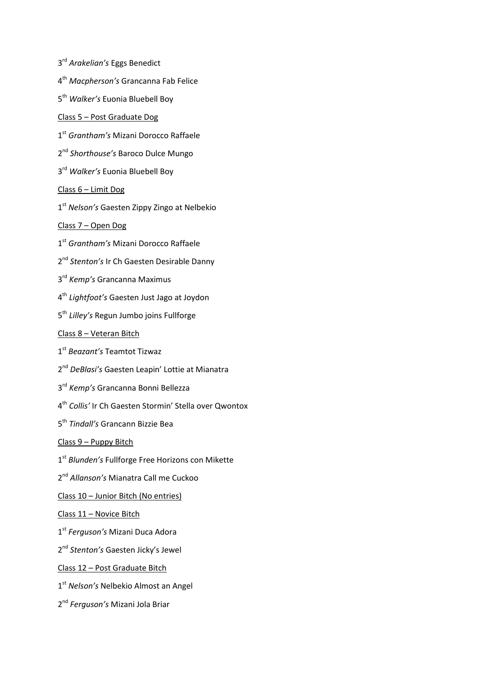- rd *Arakelian's* Eggs Benedict
- th *Macpherson's* Grancanna Fab Felice
- th *Walker's* Euonia Bluebell Boy
- Class 5 Post Graduate Dog
- st *Grantham's* Mizani Dorocco Raffaele
- nd *Shorthouse's* Baroco Dulce Mungo
- rd *Walker's* Euonia Bluebell Boy
- Class 6 Limit Dog
- st *Nelson's* Gaesten Zippy Zingo at Nelbekio

Class 7 – Open Dog

- st *Grantham's* Mizani Dorocco Raffaele
- 2<sup>nd</sup> Stenton's Ir Ch Gaesten Desirable Danny
- rd *Kemp's* Grancanna Maximus
- th *Lightfoot's* Gaesten Just Jago at Joydon
- th *Lilley's* Regun Jumbo joins Fullforge
- Class 8 Veteran Bitch
- st *Beazant's* Teamtot Tizwaz
- 2<sup>nd</sup> DeBlasi's Gaesten Leapin' Lottie at Mianatra
- rd *Kemp's* Grancanna Bonni Bellezza
- th *Collis'* Ir Ch Gaesten Stormin' Stella over Qwontox
- th *Tindall's* Grancann Bizzie Bea
- Class 9 Puppy Bitch
- st *Blunden's* Fullforge Free Horizons con Mikette
- nd *Allanson's* Mianatra Call me Cuckoo
- Class 10 Junior Bitch (No entries)
- Class 11 Novice Bitch
- st *Ferguson's* Mizani Duca Adora
- nd *Stenton's* Gaesten Jicky's Jewel
- Class 12 Post Graduate Bitch
- st *Nelson's* Nelbekio Almost an Angel
- nd *Ferguson's* Mizani Jola Briar